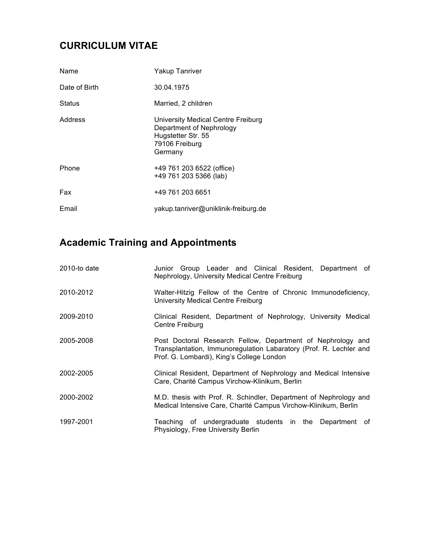## **CURRICULUM VITAE**

| Name          | Yakup Tanriver                                                                                                    |
|---------------|-------------------------------------------------------------------------------------------------------------------|
| Date of Birth | 30.04.1975                                                                                                        |
| <b>Status</b> | Married, 2 children                                                                                               |
| Address       | University Medical Centre Freiburg<br>Department of Nephrology<br>Hugstetter Str. 55<br>79106 Freiburg<br>Germany |
| Phone         | +49 761 203 6522 (office)<br>+49 761 203 5366 (lab)                                                               |
| Fax           | +49 761 203 6651                                                                                                  |
| Email         | yakup.tanriver@uniklinik-freiburg.de                                                                              |

## **Academic Training and Appointments**

| 2010-to date | Junior Group Leader and Clinical Resident, Department of<br>Nephrology, University Medical Centre Freiburg                                                                     |
|--------------|--------------------------------------------------------------------------------------------------------------------------------------------------------------------------------|
| 2010-2012    | Walter-Hitzig Fellow of the Centre of Chronic Immunodeficiency,<br>University Medical Centre Freiburg                                                                          |
| 2009-2010    | Clinical Resident, Department of Nephrology, University Medical<br>Centre Freiburg                                                                                             |
| 2005-2008    | Post Doctoral Research Fellow, Department of Nephrology and<br>Transplantation, Immunoregulation Labaratory (Prof. R. Lechler and<br>Prof. G. Lombardi), King's College London |
| 2002-2005    | Clinical Resident, Department of Nephrology and Medical Intensive<br>Care, Charité Campus Virchow-Klinikum, Berlin                                                             |
| 2000-2002    | M.D. thesis with Prof. R. Schindler, Department of Nephrology and<br>Medical Intensive Care, Charité Campus Virchow-Klinikum, Berlin                                           |
| 1997-2001    | Teaching of undergraduate students in the Department of<br>Physiology, Free University Berlin                                                                                  |